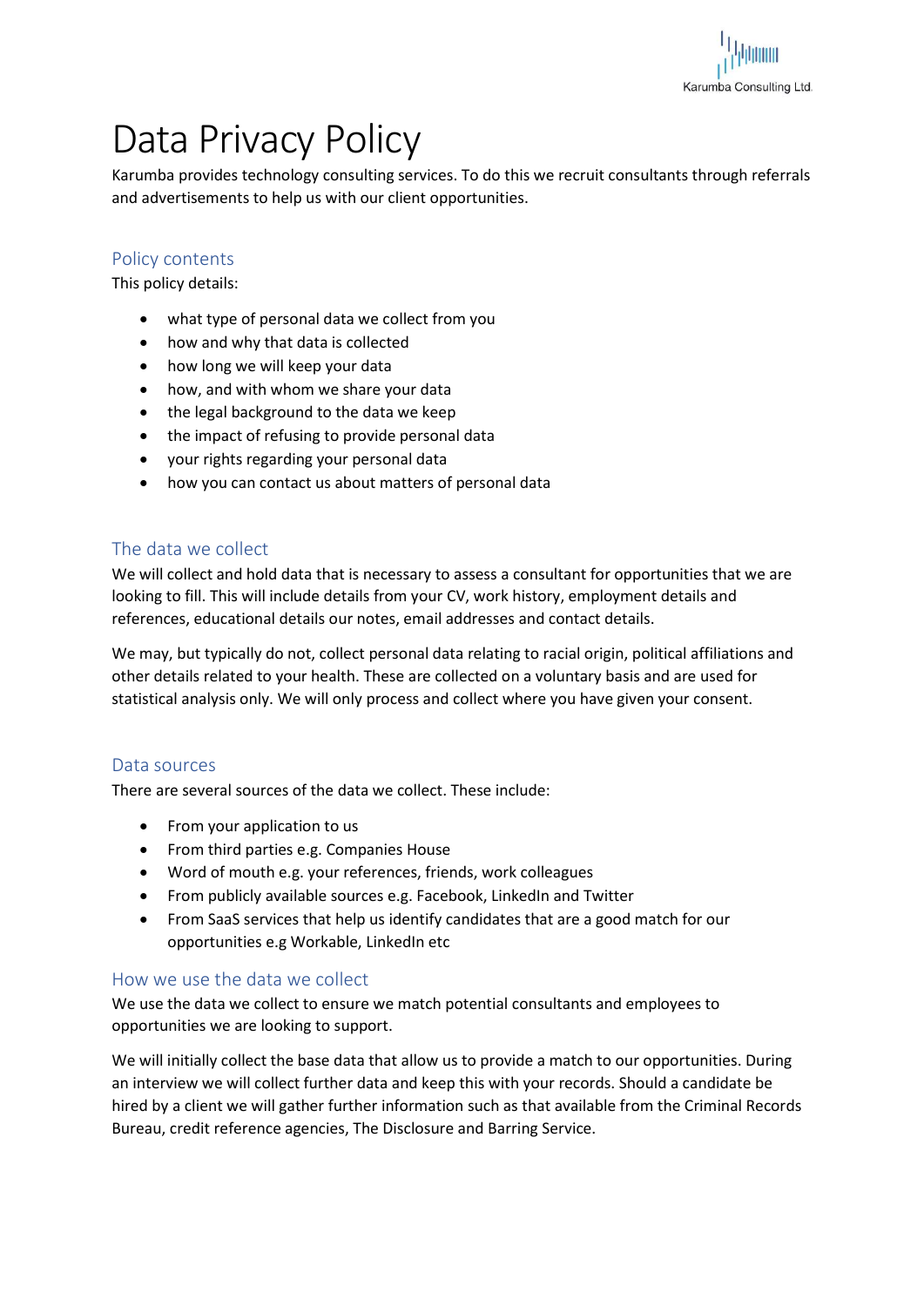

# Data Privacy Policy

Karumba provides technology consulting services. To do this we recruit consultants through referrals and advertisements to help us with our client opportunities.

# Policy contents

This policy details:

- what type of personal data we collect from you
- how and why that data is collected
- how long we will keep your data
- how, and with whom we share your data
- the legal background to the data we keep
- the impact of refusing to provide personal data
- your rights regarding your personal data
- how you can contact us about matters of personal data

## The data we collect

We will collect and hold data that is necessary to assess a consultant for opportunities that we are looking to fill. This will include details from your CV, work history, employment details and references, educational details our notes, email addresses and contact details.

We may, but typically do not, collect personal data relating to racial origin, political affiliations and other details related to your health. These are collected on a voluntary basis and are used for statistical analysis only. We will only process and collect where you have given your consent.

#### Data sources

There are several sources of the data we collect. These include:

- From your application to us
- From third parties e.g. Companies House
- Word of mouth e.g. your references, friends, work colleagues
- From publicly available sources e.g. Facebook, LinkedIn and Twitter
- From SaaS services that help us identify candidates that are a good match for our opportunities e.g Workable, LinkedIn etc

#### How we use the data we collect

We use the data we collect to ensure we match potential consultants and employees to opportunities we are looking to support.

We will initially collect the base data that allow us to provide a match to our opportunities. During an interview we will collect further data and keep this with your records. Should a candidate be hired by a client we will gather further information such as that available from the Criminal Records Bureau, credit reference agencies, The Disclosure and Barring Service.